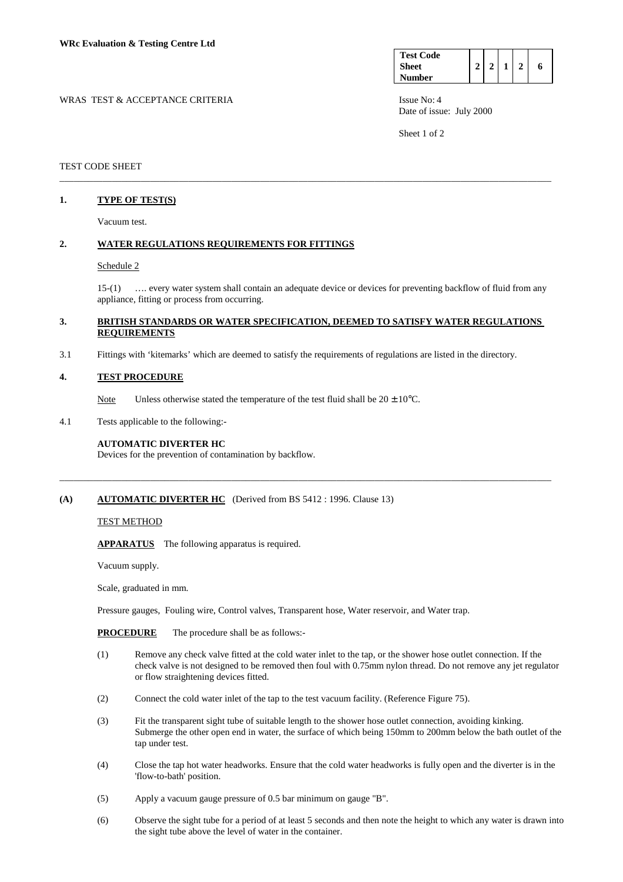| <b>Test Code</b> |  |  |  |
|------------------|--|--|--|
| Sheet            |  |  |  |
| <b>Number</b>    |  |  |  |

WRAS TEST & ACCEPTANCE CRITERIA ISSUE No: 4 Date of issue: July 2000

Sheet 1 of 2

## TEST CODE SHEET

# **1. TYPE OF TEST(S)**

Vacuum test.

# **2. WATER REGULATIONS REQUIREMENTS FOR FITTINGS**

#### Schedule 2

 15-(1) …. every water system shall contain an adequate device or devices for preventing backflow of fluid from any appliance, fitting or process from occurring.

## **3. BRITISH STANDARDS OR WATER SPECIFICATION, DEEMED TO SATISFY WATER REGULATIONS REQUIREMENTS**

\_\_\_\_\_\_\_\_\_\_\_\_\_\_\_\_\_\_\_\_\_\_\_\_\_\_\_\_\_\_\_\_\_\_\_\_\_\_\_\_\_\_\_\_\_\_\_\_\_\_\_\_\_\_\_\_\_\_\_\_\_\_\_\_\_\_\_\_\_\_\_\_\_\_\_\_\_\_\_\_\_\_\_\_\_\_\_\_\_\_\_\_\_\_\_\_\_\_\_\_\_\_\_

\_\_\_\_\_\_\_\_\_\_\_\_\_\_\_\_\_\_\_\_\_\_\_\_\_\_\_\_\_\_\_\_\_\_\_\_\_\_\_\_\_\_\_\_\_\_\_\_\_\_\_\_\_\_\_\_\_\_\_\_\_\_\_\_\_\_\_\_\_\_\_\_\_\_\_\_\_\_\_\_\_\_\_\_\_\_\_\_\_\_\_\_\_\_\_\_\_\_\_\_\_\_\_

3.1 Fittings with 'kitemarks' which are deemed to satisfy the requirements of regulations are listed in the directory.

#### **4. TEST PROCEDURE**

Note Unless otherwise stated the temperature of the test fluid shall be  $20 \pm 10^{\circ}$ C.

4.1 Tests applicable to the following:-

#### **AUTOMATIC DIVERTER HC**

Devices for the prevention of contamination by backflow.

#### **(A) AUTOMATIC DIVERTER HC** (Derived from BS 5412 : 1996. Clause 13)

#### TEST METHOD

 **APPARATUS** The following apparatus is required.

Vacuum supply.

Scale, graduated in mm.

Pressure gauges, Fouling wire, Control valves, Transparent hose, Water reservoir, and Water trap.

**PROCEDURE** The procedure shall be as follows:-

- (1) Remove any check valve fitted at the cold water inlet to the tap, or the shower hose outlet connection. If the check valve is not designed to be removed then foul with 0.75mm nylon thread. Do not remove any jet regulator or flow straightening devices fitted.
- (2) Connect the cold water inlet of the tap to the test vacuum facility. (Reference Figure 75).
- (3) Fit the transparent sight tube of suitable length to the shower hose outlet connection, avoiding kinking. Submerge the other open end in water, the surface of which being 150mm to 200mm below the bath outlet of the tap under test.
- (4) Close the tap hot water headworks. Ensure that the cold water headworks is fully open and the diverter is in the 'flow-to-bath' position.
- (5) Apply a vacuum gauge pressure of 0.5 bar minimum on gauge "B".
- (6) Observe the sight tube for a period of at least 5 seconds and then note the height to which any water is drawn into the sight tube above the level of water in the container.